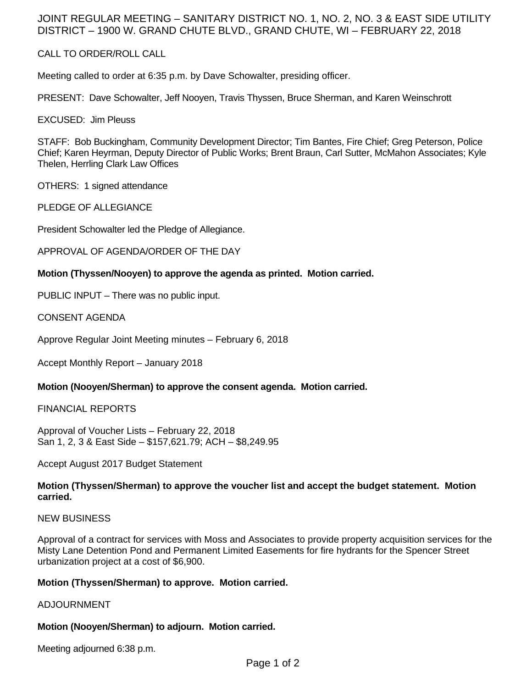# JOINT REGULAR MEETING – SANITARY DISTRICT NO. 1, NO. 2, NO. 3 & EAST SIDE UTILITY DISTRICT – 1900 W. GRAND CHUTE BLVD., GRAND CHUTE, WI – FEBRUARY 22, 2018

## CALL TO ORDER/ROLL CALL

Meeting called to order at 6:35 p.m. by Dave Schowalter, presiding officer.

PRESENT: Dave Schowalter, Jeff Nooyen, Travis Thyssen, Bruce Sherman, and Karen Weinschrott

EXCUSED: Jim Pleuss

STAFF: Bob Buckingham, Community Development Director; Tim Bantes, Fire Chief; Greg Peterson, Police Chief; Karen Heyrman, Deputy Director of Public Works; Brent Braun, Carl Sutter, McMahon Associates; Kyle Thelen, Herrling Clark Law Offices

OTHERS: 1 signed attendance

PLEDGE OF ALLEGIANCE

President Schowalter led the Pledge of Allegiance.

APPROVAL OF AGENDA/ORDER OF THE DAY

### **Motion (Thyssen/Nooyen) to approve the agenda as printed. Motion carried.**

PUBLIC INPUT – There was no public input.

CONSENT AGENDA

Approve Regular Joint Meeting minutes – February 6, 2018

Accept Monthly Report – January 2018

## **Motion (Nooyen/Sherman) to approve the consent agenda. Motion carried.**

#### FINANCIAL REPORTS

Approval of Voucher Lists – February 22, 2018 San 1, 2, 3 & East Side – \$157,621.79; ACH – \$8,249.95

Accept August 2017 Budget Statement

### **Motion (Thyssen/Sherman) to approve the voucher list and accept the budget statement. Motion carried.**

#### NEW BUSINESS

Approval of a contract for services with Moss and Associates to provide property acquisition services for the Misty Lane Detention Pond and Permanent Limited Easements for fire hydrants for the Spencer Street urbanization project at a cost of \$6,900.

## **Motion (Thyssen/Sherman) to approve. Motion carried.**

#### ADJOURNMENT

## **Motion (Nooyen/Sherman) to adjourn. Motion carried.**

Meeting adjourned 6:38 p.m.